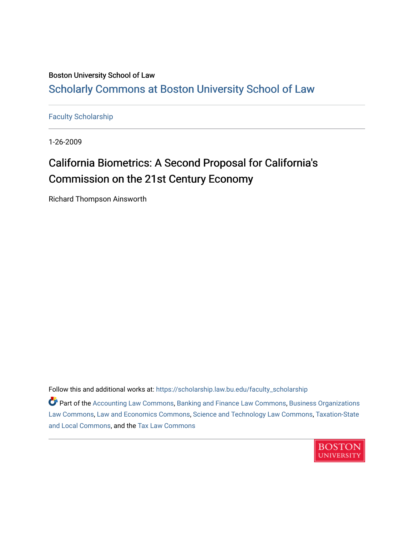# Boston University School of Law [Scholarly Commons at Boston University School of Law](https://scholarship.law.bu.edu/)

[Faculty Scholarship](https://scholarship.law.bu.edu/faculty_scholarship)

1-26-2009

# California Biometrics: A Second Proposal for California's Commission on the 21st Century Economy

Richard Thompson Ainsworth

Follow this and additional works at: [https://scholarship.law.bu.edu/faculty\\_scholarship](https://scholarship.law.bu.edu/faculty_scholarship?utm_source=scholarship.law.bu.edu%2Ffaculty_scholarship%2F1484&utm_medium=PDF&utm_campaign=PDFCoverPages)

**P** Part of the [Accounting Law Commons](http://network.bepress.com/hgg/discipline/828?utm_source=scholarship.law.bu.edu%2Ffaculty_scholarship%2F1484&utm_medium=PDF&utm_campaign=PDFCoverPages), [Banking and Finance Law Commons](http://network.bepress.com/hgg/discipline/833?utm_source=scholarship.law.bu.edu%2Ffaculty_scholarship%2F1484&utm_medium=PDF&utm_campaign=PDFCoverPages), [Business Organizations](http://network.bepress.com/hgg/discipline/900?utm_source=scholarship.law.bu.edu%2Ffaculty_scholarship%2F1484&utm_medium=PDF&utm_campaign=PDFCoverPages) [Law Commons,](http://network.bepress.com/hgg/discipline/900?utm_source=scholarship.law.bu.edu%2Ffaculty_scholarship%2F1484&utm_medium=PDF&utm_campaign=PDFCoverPages) [Law and Economics Commons](http://network.bepress.com/hgg/discipline/612?utm_source=scholarship.law.bu.edu%2Ffaculty_scholarship%2F1484&utm_medium=PDF&utm_campaign=PDFCoverPages), [Science and Technology Law Commons,](http://network.bepress.com/hgg/discipline/875?utm_source=scholarship.law.bu.edu%2Ffaculty_scholarship%2F1484&utm_medium=PDF&utm_campaign=PDFCoverPages) [Taxation-State](http://network.bepress.com/hgg/discipline/882?utm_source=scholarship.law.bu.edu%2Ffaculty_scholarship%2F1484&utm_medium=PDF&utm_campaign=PDFCoverPages) [and Local Commons,](http://network.bepress.com/hgg/discipline/882?utm_source=scholarship.law.bu.edu%2Ffaculty_scholarship%2F1484&utm_medium=PDF&utm_campaign=PDFCoverPages) and the [Tax Law Commons](http://network.bepress.com/hgg/discipline/898?utm_source=scholarship.law.bu.edu%2Ffaculty_scholarship%2F1484&utm_medium=PDF&utm_campaign=PDFCoverPages)

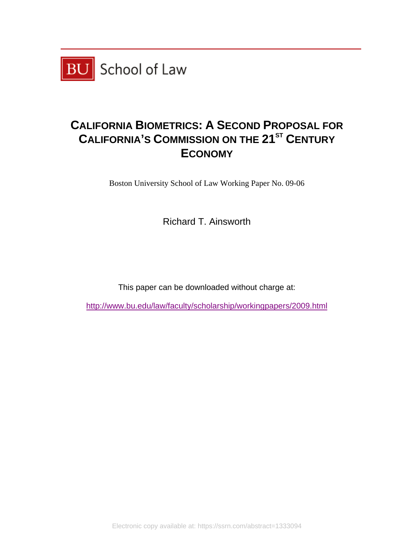

# **CALIFORNIA BIOMETRICS: A SECOND PROPOSAL FOR CALIFORNIA'S COMMISSION ON THE 21<sup>ST</sup> CENTURY ECONOMY**

Boston University School of Law Working Paper No. 09-06

Richard T. Ainsworth

This paper can be downloaded without charge at:

http://www.bu.edu/law/faculty/scholarship/workingpapers/2009.html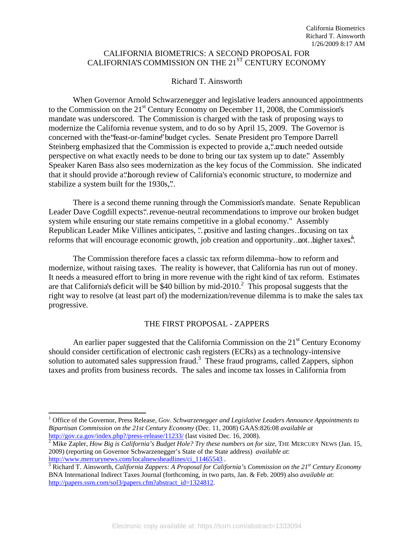# CALIFORNIA BIOMETRICS: A SECOND PROPOSAL FOR CALIFORNIA'S COMMISSION ON THE 21<sup>ST</sup> CENTURY ECONOMY

# Richard T. Ainsworth

When Governor Arnold Schwarzenegger and legislative leaders announced appointments to the Commission on the  $21<sup>st</sup>$  Century Economy on December 11, 2008, the Commission's mandate was underscored. The Commission is charged with the task of proposing ways to modernize the California revenue system, and to do so by April 15, 2009. The Governor is concerned with the "feast-or-famine" budget cycles. Senate President pro Tempore Darrell Steinberg emphasized that the Commission is expected to provide a, "...much needed outside perspective on what exactly needs to be done to bring our tax system up to date." Assembly Speaker Karen Bass also sees modernization as the key focus of the Commission. She indicated that it should provide a "horough review of California's economic structure, to modernize and stabilize a system built for the 1930s,"..

There is a second theme running through the Commission's mandate. Senate Republican Leader Dave Cogdill expects." revenue-neutral recommendations to improve our broken budget system while ensuring our state remains competitive in a global economy." Assembly Republican Leader Mike Villines anticipates, "… positive and lasting changes … focusing on tax reforms that will encourage economic growth, job creation and opportunity...not. higher taxes."

The Commission therefore faces a classic tax reform dilemma – how to reform and modernize, without raising taxes. The reality is however, that California has run out of money. It needs a measured effort to bring in more revenue with the right kind of tax reform. Estimates are that California's deficit will be \$40 billion by mid-2010.<sup>2</sup> This proposal suggests that the right way to resolve (at least part of) the modernization/revenue dilemma is to make the sales tax progressive.

# THE FIRST PROPOSAL - ZAPPERS

An earlier paper suggested that the California Commission on the  $21<sup>st</sup>$  Century Economy should consider certification of electronic cash registers (ECRs) as a technology-intensive solution to automated sales suppression fraud.<sup>3</sup> These fraud programs, called Zappers, siphon taxes and profits from business records. The sales and income tax losses in California from

l <sup>1</sup> Office of the Governor, Press Release, *Gov. Schwarzenegger and Legislative Leaders Announce Appointments to Bipartisan Commission on the 21st Century Economy* (Dec. 11, 2008) GAAS:826:08 *available at* http://gov.ca.gov/index.php?/press-release/11233/ (last visited Dec. 16, 2008).

<sup>&</sup>lt;sup>2</sup> Mike Zapler, *How Big is California's Budget Hole? Try these numbers on for size*, THE MERCURY NEWS (Jan. 15, 2009) (reporting on Governor Schwarzenegger's State of the State address) *available at*: http://www.mercurynews.com/localnewsheadlines/ci\_11465543.

<sup>&</sup>lt;sup>3</sup> Richard T. Ainsworth, *California Zappers: A Proposal for California's Commission on the 21<sup>st</sup> Century Economy* BNA International Indirect Taxes Journal (forthcoming, in two parts, Jan. & Feb. 2009) also *available at*: http://papers.ssrn.com/sol3/papers.cfm?abstract\_id=1324812.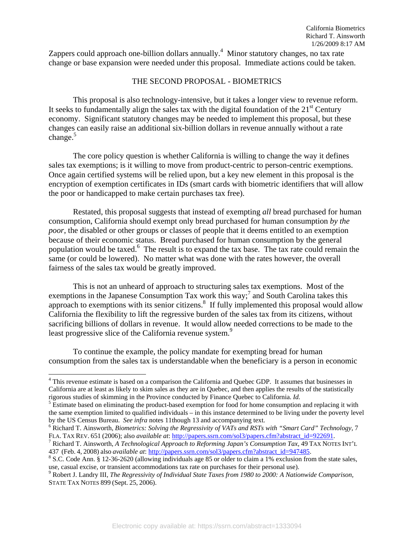Zappers could approach one-billion dollars annually.<sup>4</sup> Minor statutory changes, no tax rate change or base expansion were needed under this proposal. Immediate actions could be taken.

#### THE SECOND PROPOSAL - BIOMETRICS

This proposal is also technology-intensive, but it takes a longer view to revenue reform. It seeks to fundamentally align the sales tax with the digital foundation of the  $21<sup>st</sup>$  Century economy. Significant statutory changes may be needed to implement this proposal, but these changes can easily raise an additional six-billion dollars in revenue annually without a rate change. $5$ 

The core policy question is whether California is willing to change the way it defines sales tax exemptions; is it willing to move from product-centric to person-centric exemptions. Once again certified systems will be relied upon, but a key new element in this proposal is the encryption of exemption certificates in IDs (smart cards with biometric identifiers that will allow the poor or handicapped to make certain purchases tax free).

Restated, this proposal suggests that instead of exempting *all* bread purchased for human consumption, California should exempt only bread purchased for human consumption *by the poor*, the disabled or other groups or classes of people that it deems entitled to an exemption because of their economic status. Bread purchased for human consumption by the general population would be taxed.<sup>6</sup> The result is to expand the tax base. The tax rate could remain the same (or could be lowered). No matter what was done with the rates however, the overall fairness of the sales tax would be greatly improved.

This is not an unheard of approach to structuring sales tax exemptions. Most of the exemptions in the Japanese Consumption Tax work this way;<sup>7</sup> and South Carolina takes this approach to exemptions with its senior citizens. $\delta$  If fully implemented this proposal would allow California the flexibility to lift the regressive burden of the sales tax from its citizens, without sacrificing billions of dollars in revenue. It would allow needed corrections to be made to the least progressive slice of the California revenue system.<sup>9</sup>

To continue the example, the policy mandate for exempting bread for human consumption from the sales tax is understandable when the beneficiary is a person in economic

<sup>&</sup>lt;sup>4</sup> This revenue estimate is based on a comparison the California and Quebec GDP. It assumes that businesses in California are at least as likely to skim sales as they are in Quebec, and then applies the results of the statistically rigorous studies of skimming in the Province conducted by Finance Quebec to California. *Id.* 5

<sup>&</sup>lt;sup>5</sup> Estimate based on eliminating the product-based exemption for food for home consumption and replacing it with the same exemption limited to qualified individuals – in this instance determined to be living under the poverty level by the US Census Bureau. *See infra* notes 11though 13 and accompanying text. 6

Richard T. Ainsworth, *Biometrics: Solving the Regressivity of VATs and RSTs with "Smart Card" Technology,* 7 FLA. TAX REV. 651 (2006); also *available at*: http://papers.ssrn.com/sol3/papers.cfm?abstract\_id=922691.

Richard T. Ainsworth, *A Technological Approach to Reforming Japan's Consumption Tax,* 49 TAX NOTES INT'L 437 (Feb. 4, 2008) also *available at*: http://papers.ssrn.com/sol3/papers.cfm?abstract\_id=947485. 8

S.C. Code Ann. § 12-36-2620 (allowing individuals age 85 or older to claim a 1% exclusion from the state sales, use, casual excise, or transient accommodations tax rate on purchases for their personal use). 9

Robert J. Landry III, *The Regressivity of Individual State Taxes from 1980 to 2000: A Nationwide Comparison,* STATE TAX NOTES 899 (Sept. 25, 2006).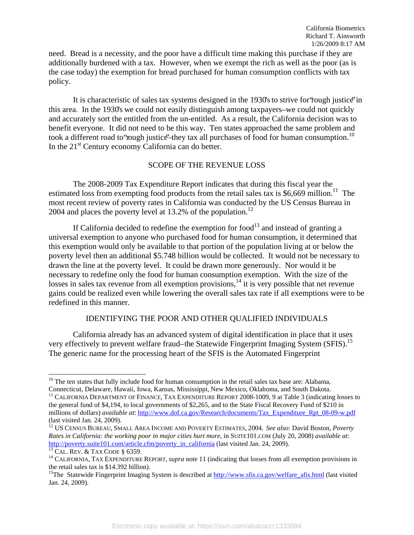need. Bread is a necessity, and the poor have a difficult time making this purchase if they are additionally burdened with a tax. However, when we exempt the rich as well as the poor (as is the case today) the exemption for bread purchased for human consumption conflicts with tax policy.

It is characteristic of sales tax systems designed in the 1930's to strive for 'rough justice' in this area. In the 1930's we could not easily distinguish among taxpayers–we could not quickly and accurately sort the entitled from the un-entitled. As a result, the California decision was to benefit everyone. It did not need to be this way. Ten states approached the same problem and took a different road to 'rough justice'—they tax all purchases of food for human consumption.<sup>10</sup> In the  $21<sup>st</sup>$  Century economy California can do better.

# SCOPE OF THE REVENUE LOSS

 The 2008-2009 Tax Expenditure Report indicates that during this fiscal year the estimated loss from exempting food products from the retail sales tax is \$6,669 million.<sup>11</sup> The most recent review of poverty rates in California was conducted by the US Census Bureau in 2004 and places the poverty level at 13.2% of the population.<sup>12</sup>

If California decided to redefine the exemption for food<sup>13</sup> and instead of granting a universal exemption to anyone who purchased food for human consumption, it determined that this exemption would only be available to that portion of the population living at or below the poverty level then an additional \$5.748 billion would be collected. It would not be necessary to drawn the line at the poverty level. It could be drawn more generously. Nor would it be necessary to redefine only the food for human consumption exemption. With the size of the losses in sales tax revenue from all exemption provisions, $14$  it is very possible that net revenue gains could be realized even while lowering the overall sales tax rate if all exemptions were to be redefined in this manner.

# IDENTIFYING THE POOR AND OTHER QUALIFIED INDIVIDUALS

California already has an advanced system of digital identification in place that it uses very effectively to prevent welfare fraud–the Statewide Fingerprint Imaging System (SFIS).<sup>15</sup> The generic name for the processing heart of the SFIS is the Automated Fingerprint

 $10$  The ten states that fully include food for human consumption in the retail sales tax base are: Alabama,

Connecticut, Delaware, Hawaii, Iowa, Kansas, Mississippi, New Mexico, Oklahoma, and South Dakota.<br><sup>11</sup> CALIFORNIA DEPARTMENT OF FINANCE, TAX EXPENDITURE REPORT 2008-1009, 9 at Table 3 (indicating losses to the general fund of \$4,194, to local governments of \$2,265, and to the State Fiscal Recovery Fund of \$210 in millions of dollars) *available at*: http://www.dof.ca.gov/Research/documents/Tax\_Expenditure\_Rpt\_08-09-w.pdf (last visited Jan. 24, 2009).

<sup>12</sup> US CENSUS BUREAU, SMALL AREA INCOME AND POVERTY ESTIMATES, 2004. *See also*: David Boston, *Poverty Rates in California: the working poor in major cities hurt more, in SUITE101.COM (July 20, 2008) <i>available at:*<br>http://poverty.suite101.com/article.cfm/poverty in california (last visited Jan. 24, 2009).

<sup>&</sup>lt;sup>13</sup> CAL. REV. & TAX CODE § 6359.<br><sup>14</sup> CALIFORNIA, TAX EXPENDITURE REPORT, *supra* note 11 (indicating that losses from all exemption provisions in the retail sales tax is \$14.392 billion).

<sup>&</sup>lt;sup>15</sup>The Statewide Fingerprint Imaging System is described at http://www.sfis.ca.gov/welfare\_afis.html (last visited Jan. 24, 2009).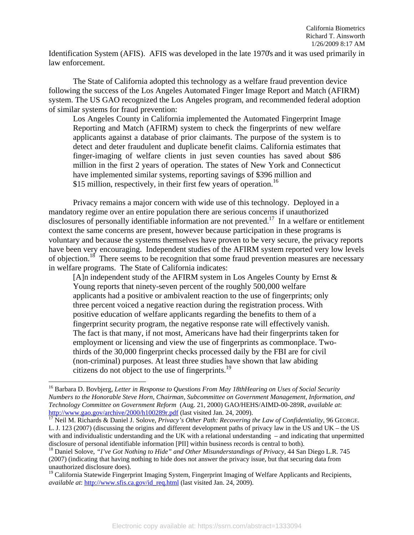Identification System (AFIS). AFIS was developed in the late 1970's and it was used primarily in law enforcement.

The State of California adopted this technology as a welfare fraud prevention device following the success of the Los Angeles Automated Finger Image Report and Match (AFIRM) system. The US GAO recognized the Los Angeles program, and recommended federal adoption of similar systems for fraud prevention:

Los Angeles County in California implemented the Automated Fingerprint Image Reporting and Match (AFIRM) system to check the fingerprints of new welfare applicants against a database of prior claimants. The purpose of the system is to detect and deter fraudulent and duplicate benefit claims. California estimates that finger-imaging of welfare clients in just seven counties has saved about \$86 million in the first 2 years of operation. The states of New York and Connecticut have implemented similar systems, reporting savings of \$396 million and \$15 million, respectively, in their first few years of operation.<sup>16</sup>

Privacy remains a major concern with wide use of this technology. Deployed in a mandatory regime over an entire population there are serious concerns if unauthorized disclosures of personally identifiable information are not prevented.<sup>17</sup> In a welfare or entitlement context the same concerns are present, however because participation in these programs is voluntary and because the systems themselves have proven to be very secure, the privacy reports have been very encouraging. Independent studies of the AFIRM system reported very low levels of objection.18 There seems to be recognition that some fraud prevention measures are necessary in welfare programs. The State of California indicates:

[A]n independent study of the AFIRM system in Los Angeles County by Ernst & Young reports that ninety-seven percent of the roughly 500,000 welfare applicants had a positive or ambivalent reaction to the use of fingerprints; only three percent voiced a negative reaction during the registration process. With positive education of welfare applicants regarding the benefits to them of a fingerprint security program, the negative response rate will effectively vanish. The fact is that many, if not most, Americans have had their fingerprints taken for employment or licensing and view the use of fingerprints as commonplace. Twothirds of the 30,000 fingerprint checks processed daily by the FBI are for civil (non-criminal) purposes. At least three studies have shown that law abiding citizens do not object to the use of fingerprints.<sup>19</sup>

<sup>16</sup> Barbara D. Bovbjerg, *Letter in Response to Questions From May 18thHearing on Uses of Social Security Numbers to the Honorable Steve Horn, Chairman, Subcommittee on Government Management, Information, and Technology Committee on Government Reform* (Aug. 21, 2000) GAO/HEHS/AIMD-00-289R, *available at*: http://www.gao.gov/archive/2000/h100289r.pdf (last visited Jan. 24, 2009). 17 Neil M. Richards & Daniel J. Solove, *Privacy's Other Path: Recovering the Law of Confidentiality*, 96 GEORGE.

L. J. 123 (2007) (discussing the origins and different development paths of privacy law in the US and UK – the US with and individualistic understanding and the UK with a relational understanding – and indicating that unpermitted disclosure of personal identifiable information [PII] within business records is central to both).<br><sup>18</sup> Daniel Solove, *"I've Got Nothing to Hide" and Other Misunderstandings of Privacy*, 44 San Diego L.R. 745

<sup>(2007) (</sup>indicating that having nothing to hide does not answer the privacy issue, but that securing data from unauthorized disclosure does).

<sup>&</sup>lt;sup>19</sup> California Statewide Fingerprint Imaging System, Fingerprint Imaging of Welfare Applicants and Recipients, *available at*: http://www.sfis.ca.gov/id\_req.html (last visited Jan. 24, 2009).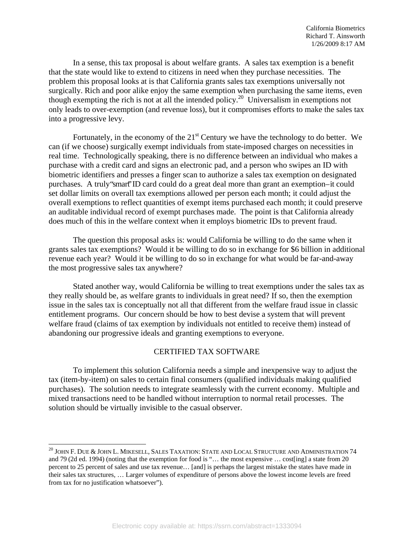In a sense, this tax proposal is about welfare grants. A sales tax exemption is a benefit that the state would like to extend to citizens in need when they purchase necessities. The problem this proposal looks at is that California grants sales tax exemptions universally not surgically. Rich and poor alike enjoy the same exemption when purchasing the same items, even though exempting the rich is not at all the intended policy.20 Universalism in exemptions not only leads to over-exemption (and revenue loss), but it compromises efforts to make the sales tax into a progressive levy.

Fortunately, in the economy of the  $21<sup>st</sup>$  Century we have the technology to do better. We can (if we choose) surgically exempt individuals from state-imposed charges on necessities in real time. Technologically speaking, there is no difference between an individual who makes a purchase with a credit card and signs an electronic pad, and a person who swipes an ID with biometric identifiers and presses a finger scan to authorize a sales tax exemption on designated purchases. A truly "smart" ID card could do a great deal more than grant an exemption – it could set dollar limits on overall tax exemptions allowed per person each month; it could adjust the overall exemptions to reflect quantities of exempt items purchased each month; it could preserve an auditable individual record of exempt purchases made. The point is that California already does much of this in the welfare context when it employs biometric IDs to prevent fraud.

The question this proposal asks is: would California be willing to do the same when it grants sales tax exemptions? Would it be willing to do so in exchange for \$6 billion in additional revenue each year? Would it be willing to do so in exchange for what would be far-and-away the most progressive sales tax anywhere?

Stated another way, would California be willing to treat exemptions under the sales tax as they really should be, as welfare grants to individuals in great need? If so, then the exemption issue in the sales tax is conceptually not all that different from the welfare fraud issue in classic entitlement programs. Our concern should be how to best devise a system that will prevent welfare fraud (claims of tax exemption by individuals not entitled to receive them) instead of abandoning our progressive ideals and granting exemptions to everyone.

## CERTIFIED TAX SOFTWARE

To implement this solution California needs a simple and inexpensive way to adjust the tax (item-by-item) on sales to certain final consumers (qualified individuals making qualified purchases). The solution needs to integrate seamlessly with the current economy. Multiple and mixed transactions need to be handled without interruption to normal retail processes. The solution should be virtually invisible to the casual observer.

 $^{20}$  JOHN F. DUE & JOHN L. MIKESELL, SALES TAXATION: STATE AND LOCAL STRUCTURE AND ADMINISTRATION 74 and 79 (2d ed. 1994) (noting that the exemption for food is "… the most expensive … cost[ing] a state from 20 percent to 25 percent of sales and use tax revenue… [and] is perhaps the largest mistake the states have made in their sales tax structures, … Larger volumes of expenditure of persons above the lowest income levels are freed from tax for no justification whatsoever").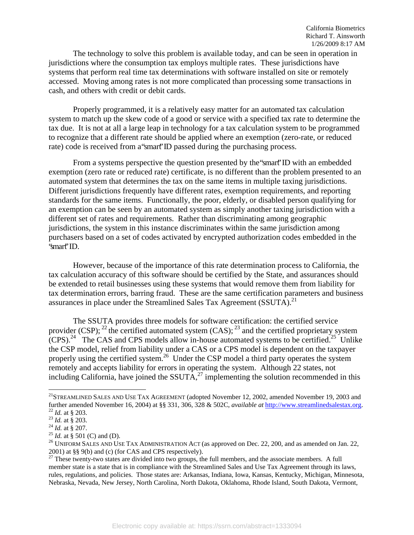The technology to solve this problem is available today, and can be seen in operation in jurisdictions where the consumption tax employs multiple rates. These jurisdictions have systems that perform real time tax determinations with software installed on site or remotely accessed. Moving among rates is not more complicated than processing some transactions in cash, and others with credit or debit cards.

Properly programmed, it is a relatively easy matter for an automated tax calculation system to match up the skew code of a good or service with a specified tax rate to determine the tax due. It is not at all a large leap in technology for a tax calculation system to be programmed to recognize that a different rate should be applied where an exemption (zero-rate, or reduced rate) code is received from a "smart" ID passed during the purchasing process.

From a systems perspective the question presented by the "smart" ID with an embedded exemption (zero rate or reduced rate) certificate, is no different than the problem presented to an automated system that determines the tax on the same items in multiple taxing jurisdictions. Different jurisdictions frequently have different rates, exemption requirements, and reporting standards for the same items. Functionally, the poor, elderly, or disabled person qualifying for an exemption can be seen by an automated system as simply another taxing jurisdiction with a different set of rates and requirements. Rather than discriminating among geographic jurisdictions, the system in this instance discriminates within the same jurisdiction among purchasers based on a set of codes activated by encrypted authorization codes embedded in the "smart" ID.

However, because of the importance of this rate determination process to California, the tax calculation accuracy of this software should be certified by the State, and assurances should be extended to retail businesses using these systems that would remove them from liability for tax determination errors, barring fraud. These are the same certification parameters and business assurances in place under the Streamlined Sales Tax Agreement (SSUTA).<sup>21</sup>

The SSUTA provides three models for software certification: the certified service provider  $(CSP)$ ; <sup>22</sup> the certified automated system  $(CAS)$ ; <sup>23</sup> and the certified proprietary system  $(CPS)<sup>24</sup>$  The CAS and CPS models allow in-house automated systems to be certified.<sup>25</sup> Unlike the CSP model, relief from liability under a CAS or a CPS model is dependent on the taxpayer properly using the certified system.<sup>26</sup> Under the CSP model a third party operates the system remotely and accepts liability for errors in operating the system. Although 22 states, not including California, have joined the SSUTA, $^{27}$  implementing the solution recommended in this

<sup>&</sup>lt;sup>21</sup>STREAMLINED SALES AND USE TAX AGREEMENT (adopted November 12, 2002, amended November 19, 2003 and further amended November 16, 2004) at §§ 331, 306, 328 & 502C, *available at* http://www.streamlinedsalestax.org.<br><sup>22</sup> *Id.* at § 203.<br><sup>23</sup> *Id.* at § 207.<br><sup>25</sup> *Id.* at § 501 (C) and (D).<br><sup>25</sup> *Id.* at § 501 (C) and (D).

<sup>2001)</sup> at §§ 9(b) and (c) (for CAS and CPS respectively).

 $2701$ , at ss  $2\sqrt{U}$  and  $U$ , (b)  $272$  and  $27$   $27$  corporations). member state is a state that is in compliance with the Streamlined Sales and Use Tax Agreement through its laws, rules, regulations, and policies. Those states are: Arkansas, Indiana, Iowa, Kansas, Kentucky, Michigan, Minnesota, Nebraska, Nevada, New Jersey, North Carolina, North Dakota, Oklahoma, Rhode Island, South Dakota, Vermont,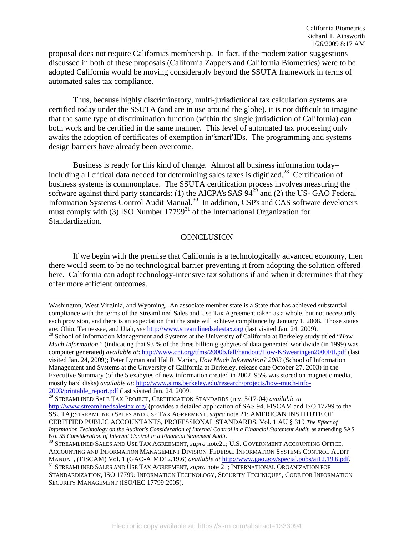proposal does not require California's membership. In fact, if the modernization suggestions discussed in both of these proposals (California Zappers and California Biometrics) were to be adopted California would be moving considerably beyond the SSUTA framework in terms of automated sales tax compliance.

Thus, because highly discriminatory, multi-jurisdictional tax calculation systems are certified today under the SSUTA (and are in use around the globe), it is not difficult to imagine that the same type of discrimination function (within the single jurisdiction of California) can both work and be certified in the same manner. This level of automated tax processing only awaits the adoption of certificates of exemption in "smart" IDs. The programming and systems design barriers have already been overcome.

Business is ready for this kind of change. Almost all business information today – including all critical data needed for determining sales taxes is digitized.<sup>28</sup> Certification of business systems is commonplace. The SSUTA certification process involves measuring the software against third party standards: (1) the AICPA's SAS 94<sup>29</sup> and (2) the US- GAO Federal Information Systems Control Audit Manual.<sup>30</sup> In addition, CSP's and CAS software developers must comply with (3) ISO Number  $17799<sup>31</sup>$  of the International Organization for Standardization.

## **CONCLUSION**

 If we begin with the premise that California is a technologically advanced economy, then there would seem to be no technological barrier preventing it from adopting the solution offered here. California can adopt technology-intensive tax solutions if and when it determines that they offer more efficient outcomes.

Washington, West Virginia, and Wyoming. An associate member state is a State that has achieved substantial compliance with the terms of the Streamlined Sales and Use Tax Agreement taken as a whole, but not necessarily each provision, and there is an expectation that the state will achieve compliance by January 1, 2008. Those states are: Ohio, Tennessee, and Utah, see http://www.streamlinedsalestax.org (last visited Jan. 24, 2009).<br><sup>28</sup> School of Information Management and Systems at the University of California at Berkeley study titled "How

*Much Information.*" (indicating that 93 % of the three billion gigabytes of data generated worldwide (in 1999) was computer generated) *available at*: http://www.cni.org/tfms/2000b.fall/handout/How-KSwearingen2000Ftf.pdf (last visited Jan. 24, 2009); Peter Lyman and Hal R. Varian, *How Much Information? 2003* (School of Information Management and Systems at the University of California at Berkeley, release date October 27, 2003) in the Executive Summary (of the 5 exabytes of new information created in 2002, 95% was stored on magnetic media, mostly hard disks) *available at*: http://www.sims.berkeley.edu/research/projects/how-much-info-2003/printable\_report.pdf (last visited Jan. 24, 2009.

<sup>29</sup> STREAMLINED SALE TAX PROJECT, CERTIFICATION STANDARDS (rev. 5/17-04) *available at* http://www.streamlinedsalestax.org/ (provides a detailed application of SAS 94, FISCAM and ISO 17799 to the SSUTA);STREAMLINED SALES AND USE TAX AGREEMENT, *supra* note 21; AMERICAN INSTITUTE OF CERTIFIED PUBLIC ACCOUNTANTS, PROFESSIONAL STANDARDS, Vol. 1 AU § 319 *The Effect of Information Technology on the Auditor's Consideration of Internal Control in a Financial Statement Audit*, as amending SAS

No. 55 *Consideration of Internal Control in a Financial Statement Audit*.<br><sup>30</sup> STREAMLINED SALES AND USE TAX AGREEMENT, *supra* note21; U.S. GOVERNMENT ACCOUNTING OFFICE, ACCOUNTING AND INFORMATION MANAGEMENT DIVISION, FEDERAL INFORMATION SYSTEMS CONTROL AUDIT MANUAL, (FISCAM) Vol. 1 (GAO-AIMD12.19.6) *available at* http://www.gao.gov/special.pubs/ai12.19.6.pdf. 31 STREAMLINED SALES AND USE TAX AGREEMENT, *supra* note 21; INTERNATIONAL ORGANIZATION FOR

STANDARDIZATION, ISO 17799: INFORMATION TECHNOLOGY, SECURITY TECHNIQUES, CODE FOR INFORMATION SECURITY MANAGEMENT (ISO/IEC 17799:2005).